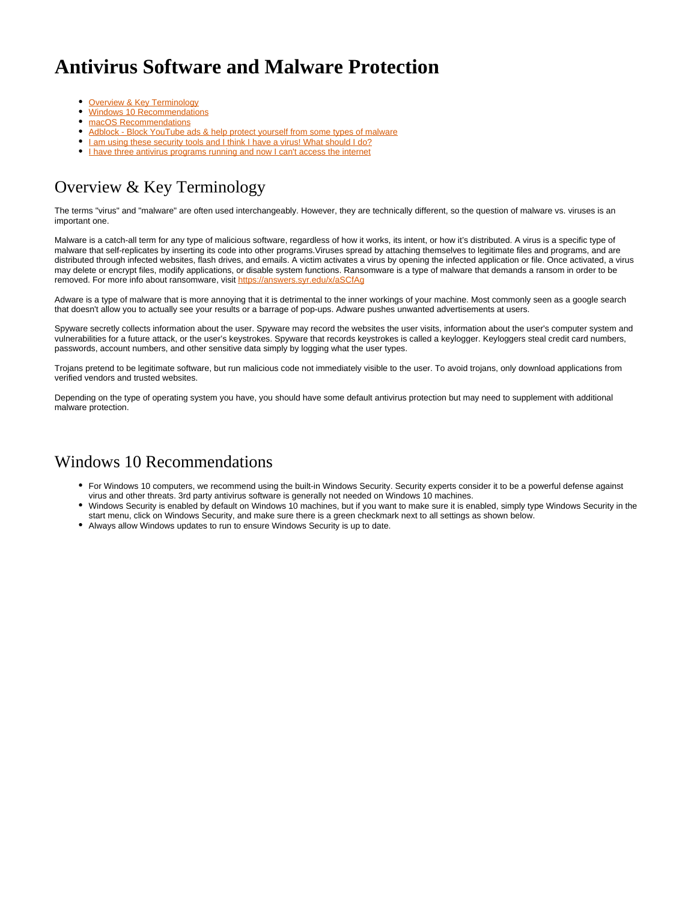# **Antivirus Software and Malware Protection**

- [Overview & Key Terminology](#page-0-0)
- [Windows 10 Recommendations](#page-0-1)
- [macOS Recommendations](#page-1-0)
- [Adblock Block YouTube ads & help protect yourself from some types of malware](#page-1-1)
- [I am using these security tools and I think I have a virus! What should I do?](#page-1-2)
- [I have three antivirus programs running and now I can't access the internet](#page-2-0)

## <span id="page-0-0"></span>Overview & Key Terminology

The terms "virus" and "malware" are often used interchangeably. However, they are technically different, so the question of malware vs. viruses is an important one.

Malware is a catch-all term for any type of malicious software, regardless of how it works, its intent, or how it's distributed. A virus is a specific type of malware that self-replicates by inserting its code into other programs.Viruses spread by attaching themselves to legitimate files and programs, and are distributed through infected websites, flash drives, and emails. A victim activates a virus by opening the infected application or file. Once activated, a virus may delete or encrypt files, modify applications, or disable system functions. Ransomware is a type of malware that demands a ransom in order to be removed. For more info about ransomware, visit<https://answers.syr.edu/x/aSCfAg>

Adware is a type of malware that is more annoying that it is detrimental to the inner workings of your machine. Most commonly seen as a google search that doesn't allow you to actually see your results or a barrage of pop-ups. Adware pushes unwanted advertisements at users.

Spyware secretly collects information about the user. Spyware may record the websites the user visits, information about the user's computer system and vulnerabilities for a future attack, or the user's keystrokes. Spyware that records keystrokes is called a keylogger. Keyloggers steal credit card numbers, passwords, account numbers, and other sensitive data simply by logging what the user types.

Trojans pretend to be legitimate software, but run malicious code not immediately visible to the user. To avoid trojans, only download applications from verified vendors and trusted websites.

Depending on the type of operating system you have, you should have some default antivirus protection but may need to supplement with additional malware protection.

### <span id="page-0-1"></span>Windows 10 Recommendations

- For Windows 10 computers, we recommend using the built-in Windows Security. Security experts consider it to be a powerful defense against virus and other threats. 3rd party antivirus software is generally not needed on Windows 10 machines.
- Windows Security is enabled by default on Windows 10 machines, but if you want to make sure it is enabled, simply type Windows Security in the start menu, click on Windows Security, and make sure there is a green checkmark next to all settings as shown below.
- Always allow Windows updates to run to ensure Windows Security is up to date.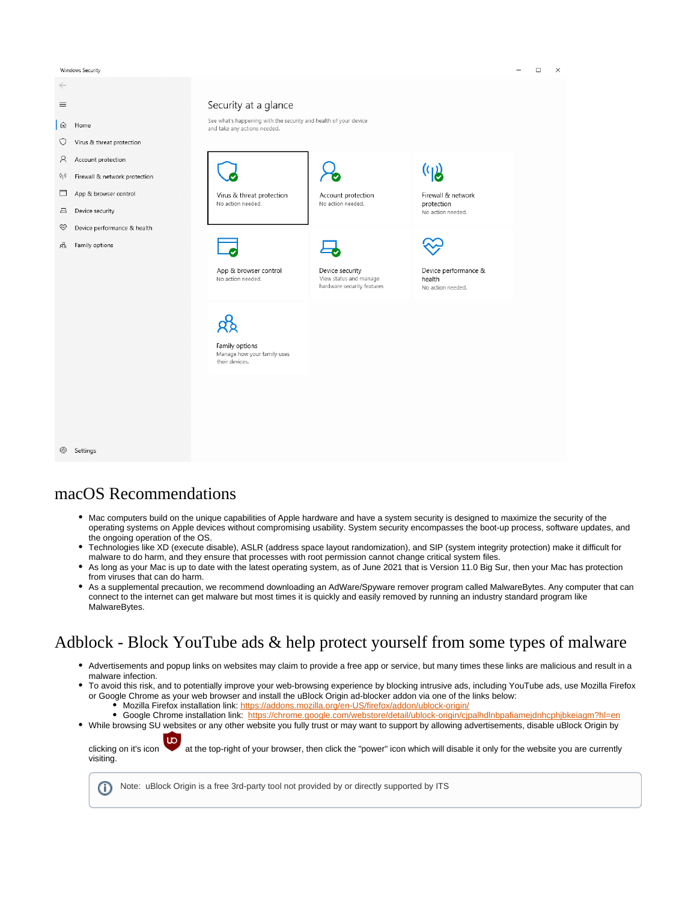Windows Security



#### <span id="page-1-0"></span>macOS Recommendations

- Mac computers build on the unique capabilities of Apple hardware and have a system security is designed to maximize the security of the operating systems on Apple devices without compromising usability. System security encompasses the boot-up process, software updates, and the ongoing operation of the OS.
- Technologies like XD (execute disable), ASLR (address space layout randomization), and SIP (system integrity protection) make it difficult for malware to do harm, and they ensure that processes with root permission cannot change critical system files.
- $\bullet$ As long as your Mac is up to date with the latest operating system, as of June 2021 that is Version 11.0 Big Sur, then your Mac has protection from viruses that can do harm.
- As a supplemental precaution, we recommend downloading an AdWare/Spyware remover program called MalwareBytes. Any computer that can connect to the internet can get malware but most times it is quickly and easily removed by running an industry standard program like MalwareBytes.

## <span id="page-1-1"></span>Adblock - Block YouTube ads & help protect yourself from some types of malware

- Advertisements and popup links on websites may claim to provide a free app or service, but many times these links are malicious and result in a malware infection.
- To avoid this risk, and to potentially improve your web-browsing experience by blocking intrusive ads, including YouTube ads, use Mozilla Firefox or Google Chrome as your web browser and install the uBlock Origin ad-blocker addon via one of the links below: Mozilla Firefox installation link:<https://addons.mozilla.org/en-US/firefox/addon/ublock-origin/>
	- Google Chrome installation link: <https://chrome.google.com/webstore/detail/ublock-origin/cjpalhdlnbpafiamejdnhcphjbkeiagm?hl=en>
- While browsing SU websites or any other website you fully trust or may want to support by allowing advertisements, disable uBlock Origin by

clicking on it's icon at the top-right of your browser, then click the "power" icon which will disable it only for the website you are currently visiting.

<span id="page-1-2"></span>Note: uBlock Origin is a free 3rd-party tool not provided by or directly supported by ITS⋒